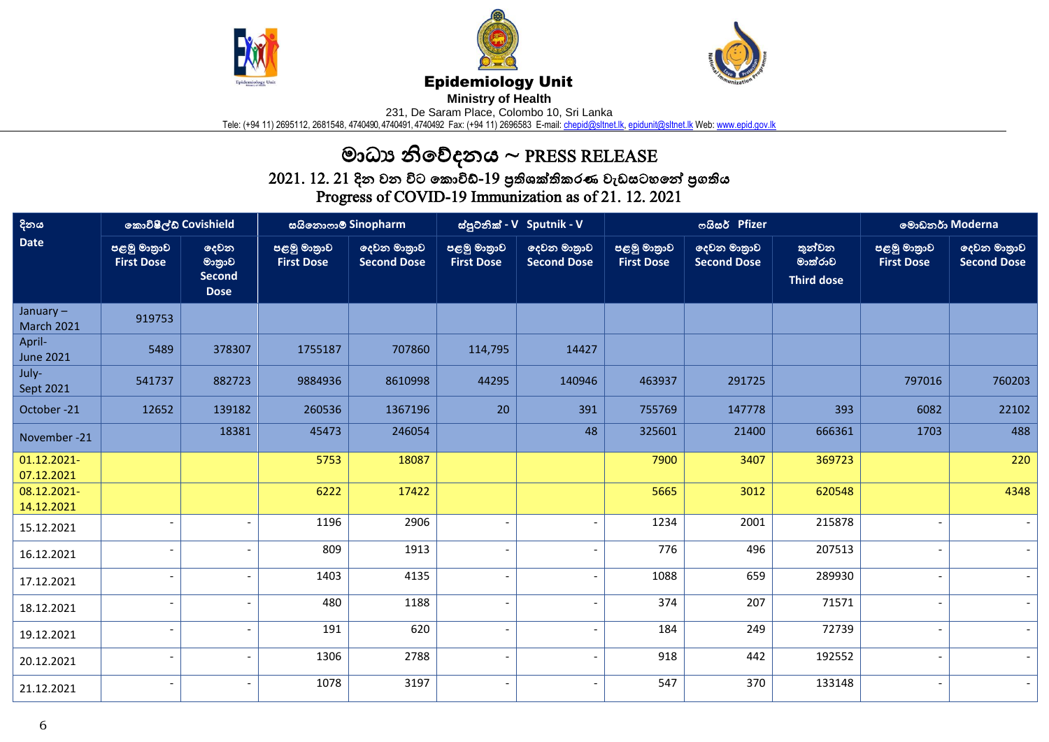





## Epidemiology Unit

**Ministry of Health** 

231, De Saram Place, Colombo 10, Sri Lanka

Tele: (+94 11) 2695112, 2681548, 4740490, 4740491, 4740492 Fax: (+94 11) 2696583 E-mail: <u>chepid@sltnet.lk, [epidunit@sltnet.lk](mailto:epidunit@sltnet.lk)</u> Web: <u>www.epid.gov.lk</u>

## මාධ්ය නිවේදනය ~ PRESS RELEASE

 $2021$ .  $12$ .  $21$  දින වන විට කොවිඩ්- $19$  පුතිශක්තිකරණ වැඩසටහනේ පුගතිය Progress of COVID-19 Immunization as of 21. 12. 2021

| දිනය<br><b>Date</b>              | කොවිෂීල්ඩ් Covishield            |                                         | සයිනොෆාම් Sinopharm              |                                   | ස්පුටනික් - V Sputnik - V        |                                   | ოයිසර් Pfizer                    |                                   |                                        | මොඩනර් Moderna                   |                                   |
|----------------------------------|----------------------------------|-----------------------------------------|----------------------------------|-----------------------------------|----------------------------------|-----------------------------------|----------------------------------|-----------------------------------|----------------------------------------|----------------------------------|-----------------------------------|
|                                  | පළමු මාතුාව<br><b>First Dose</b> | දෙවන<br>මානුාව<br>Second<br><b>Dose</b> | පළමු මාතුාව<br><b>First Dose</b> | දෙවන මාතුාව<br><b>Second Dose</b> | පළමු මාතුාව<br><b>First Dose</b> | ලදවන මාතුාව<br><b>Second Dose</b> | පළමු මාතුාව<br><b>First Dose</b> | දෙවන මාතුාව<br><b>Second Dose</b> | තුන්වන<br>මාත්රාව<br><b>Third dose</b> | පළමු මාතුාව<br><b>First Dose</b> | දෙවන මාතුාව<br><b>Second Dose</b> |
| January $-$<br><b>March 2021</b> | 919753                           |                                         |                                  |                                   |                                  |                                   |                                  |                                   |                                        |                                  |                                   |
| April-<br><b>June 2021</b>       | 5489                             | 378307                                  | 1755187                          | 707860                            | 114,795                          | 14427                             |                                  |                                   |                                        |                                  |                                   |
| July-<br>Sept 2021               | 541737                           | 882723                                  | 9884936                          | 8610998                           | 44295                            | 140946                            | 463937                           | 291725                            |                                        | 797016                           | 760203                            |
| October-21                       | 12652                            | 139182                                  | 260536                           | 1367196                           | 20                               | 391                               | 755769                           | 147778                            | 393                                    | 6082                             | 22102                             |
| November -21                     |                                  | 18381                                   | 45473                            | 246054                            |                                  | 48                                | 325601                           | 21400                             | 666361                                 | 1703                             | 488                               |
| 01.12.2021-<br>07.12.2021        |                                  |                                         | 5753                             | 18087                             |                                  |                                   | 7900                             | 3407                              | 369723                                 |                                  | 220                               |
| 08.12.2021-<br>14.12.2021        |                                  |                                         | 6222                             | 17422                             |                                  |                                   | 5665                             | 3012                              | 620548                                 |                                  | 4348                              |
| 15.12.2021                       |                                  |                                         | 1196                             | 2906                              |                                  | $\blacksquare$                    | 1234                             | 2001                              | 215878                                 |                                  |                                   |
| 16.12.2021                       |                                  |                                         | 809                              | 1913                              |                                  | $\overline{\phantom{a}}$          | 776                              | 496                               | 207513                                 |                                  |                                   |
| 17.12.2021                       |                                  |                                         | 1403                             | 4135                              | $\overline{\phantom{a}}$         | $\overline{\phantom{a}}$          | 1088                             | 659                               | 289930                                 |                                  |                                   |
| 18.12.2021                       |                                  |                                         | 480                              | 1188                              | $\overline{\phantom{a}}$         | $\blacksquare$                    | 374                              | 207                               | 71571                                  |                                  |                                   |
| 19.12.2021                       |                                  | $\overline{\phantom{a}}$                | 191                              | 620                               | $\overline{\phantom{a}}$         | $\overline{\phantom{a}}$          | 184                              | 249                               | 72739                                  |                                  |                                   |
| 20.12.2021                       |                                  | $\overline{\phantom{a}}$                | 1306                             | 2788                              | $\overline{\phantom{a}}$         | $\blacksquare$                    | 918                              | 442                               | 192552                                 |                                  |                                   |
| 21.12.2021                       | $\overline{\phantom{a}}$         |                                         | 1078                             | 3197                              | $\overline{\phantom{a}}$         | $\overline{\phantom{0}}$          | 547                              | 370                               | 133148                                 |                                  |                                   |